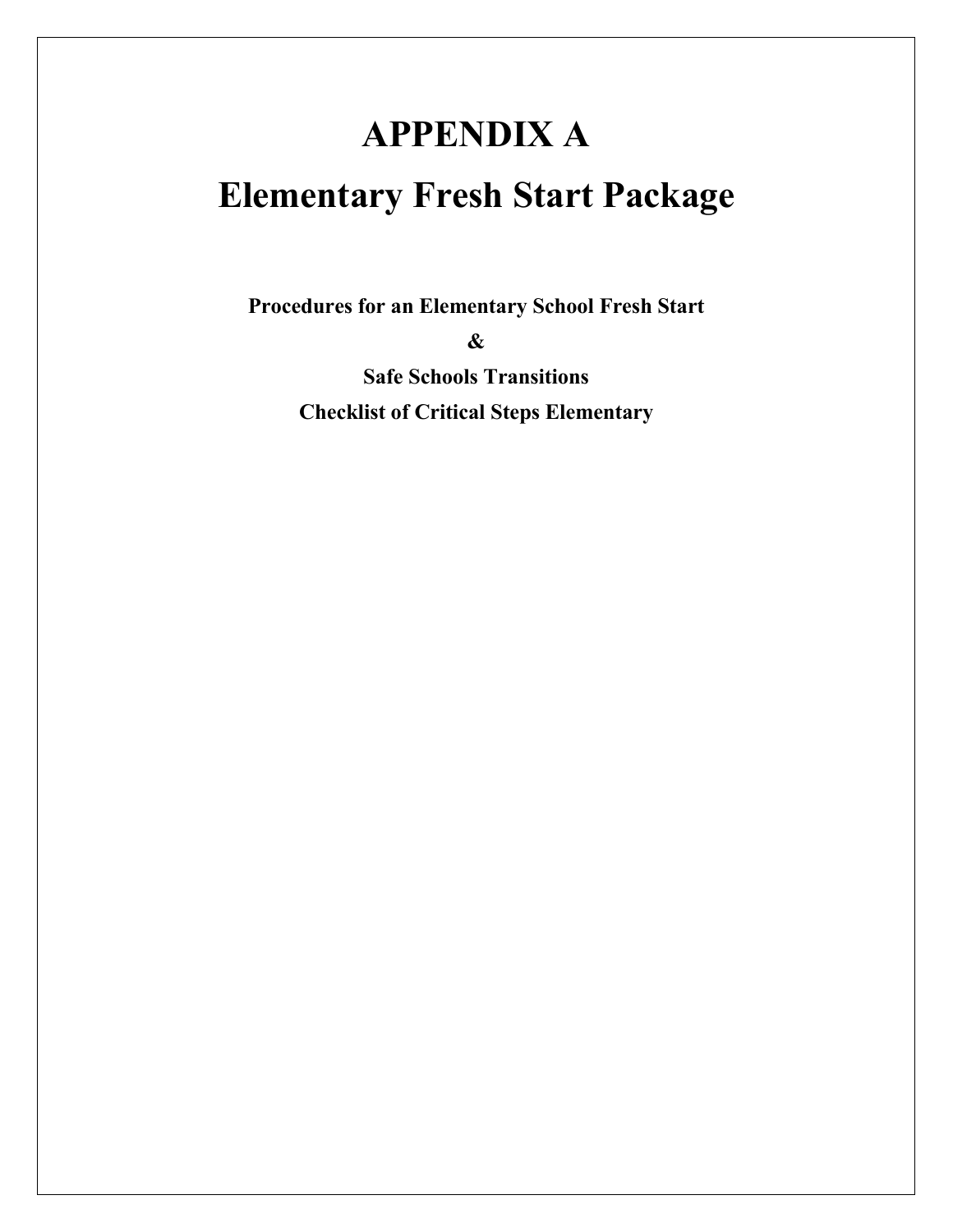## **Elementary Fresh Start Package APPENDIX A**

 **Procedures for an Elementary School Fresh Start** 

**&** 

 **Checklist of Critical Steps Elementary Safe Schools Transitions**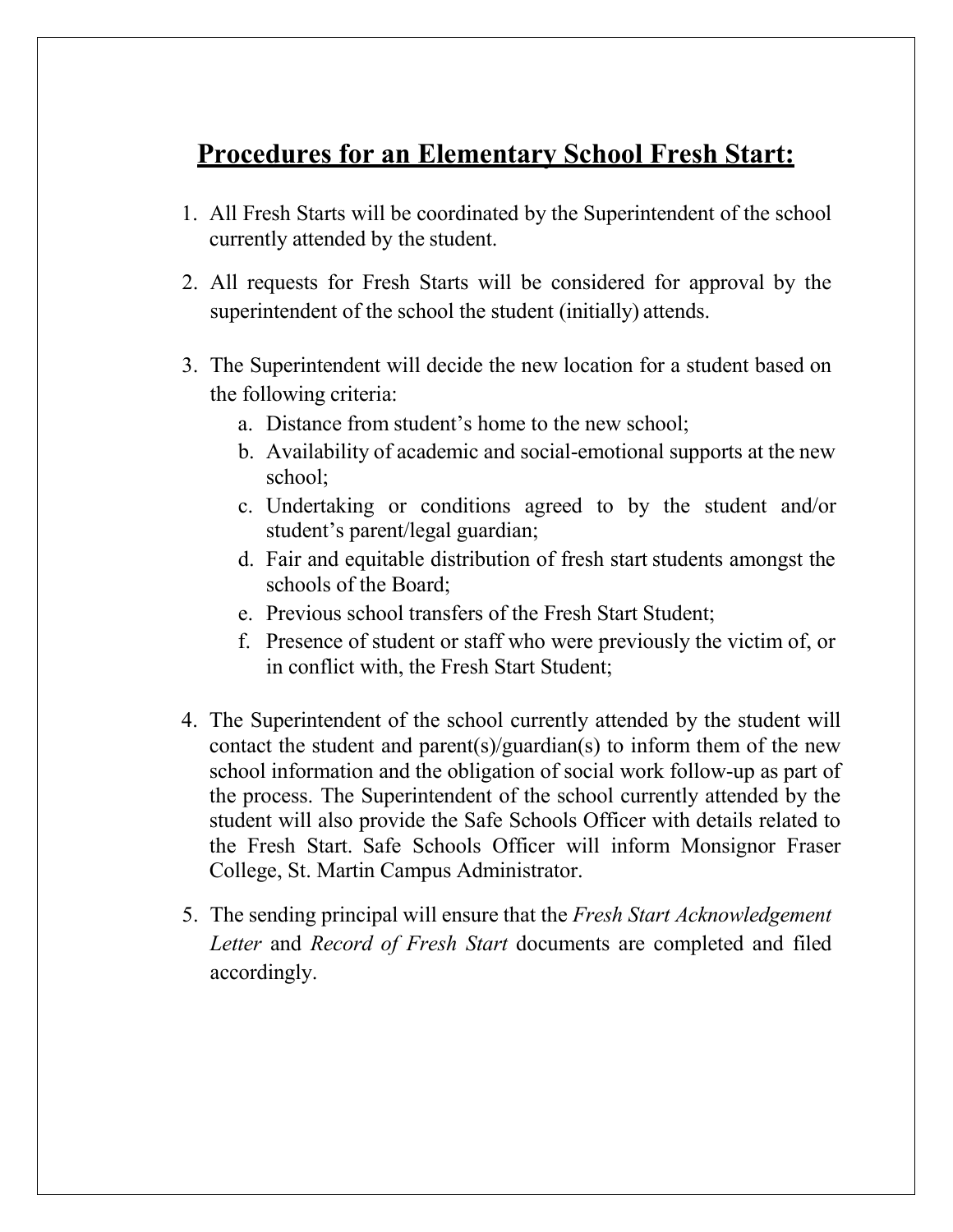## **Procedures for an Elementary School Fresh Start:**

- 1. All Fresh Starts will be coordinated by the Superintendent of the school currently attended by the student.
- 2. All requests for Fresh Starts will be considered for approval by the superintendent of the school the student (initially) attends.
- 3. The Superintendent will decide the new location for a student based on the following criteria:
	- a. Distance from student's home to the new school;
	- b. Availability of academic and social-emotional supports at the new school;
	- c. Undertaking or conditions agreed to by the student and/or student's parent/legal guardian;
	- d. Fair and equitable distribution of fresh start students amongst the schools of the Board;
	- e. Previous school transfers of the Fresh Start Student;
	- f. Presence of student or staff who were previously the victim of, or in conflict with, the Fresh Start Student;
- 4. The Superintendent of the school currently attended by the student will contact the student and parent(s)/guardian(s) to inform them of the new school information and the obligation of social work follow-up as part of the process. The Superintendent of the school currently attended by the student will also provide the Safe Schools Officer with details related to the Fresh Start. Safe Schools Officer will inform Monsignor Fraser College, St. Martin Campus Administrator.
- 5. The sending principal will ensure that the *Fresh Start Acknowledgement*  Letter and *Record of Fresh Start* documents are completed and filed accordingly.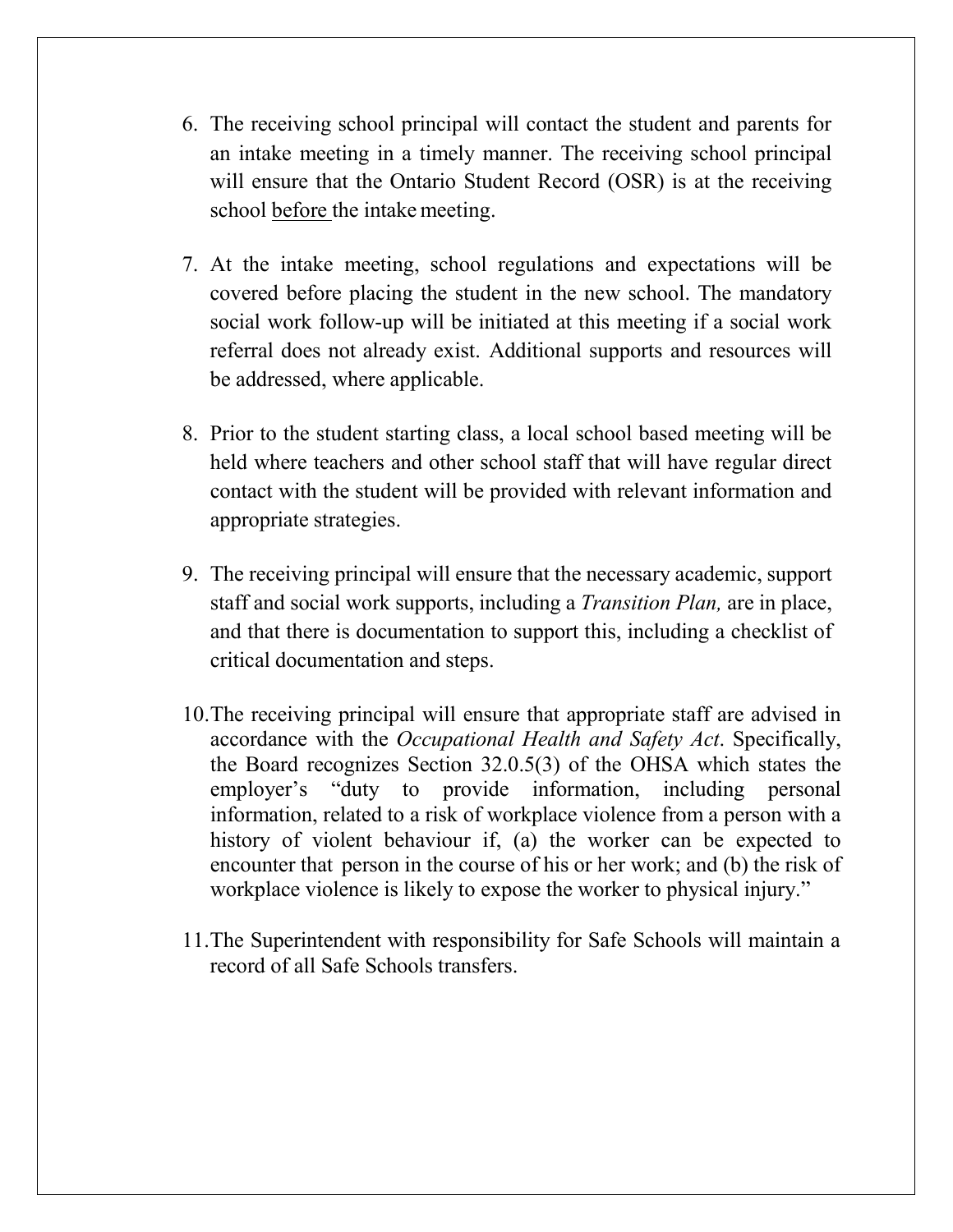- 6. The receiving school principal will contact the student and parents for an intake meeting in a timely manner. The receiving school principal will ensure that the Ontario Student Record (OSR) is at the receiving school before the intake meeting.
- 7. At the intake meeting, school regulations and expectations will be covered before placing the student in the new school. The mandatory social work follow-up will be initiated at this meeting if a social work referral does not already exist. Additional supports and resources will be addressed, where applicable.
- 8. Prior to the student starting class, a local school based meeting will be held where teachers and other school staff that will have regular direct contact with the student will be provided with relevant information and appropriate strategies.
- 9. The receiving principal will ensure that the necessary academic, support staff and social work supports, including a *Transition Plan,* are in place, and that there is documentation to support this, including a checklist of critical documentation and steps.
- 10.The receiving principal will ensure that appropriate staff are advised in accordance with the *Occupational Health and Safety Act*. Specifically, the Board recognizes Section 32.0.5(3) of the OHSA which states the employer's "duty to provide information, including personal information, related to a risk of workplace violence from a person with a history of violent behaviour if, (a) the worker can be expected to encounter that person in the course of his or her work; and (b) the risk of workplace violence is likely to expose the worker to physical injury."
- 11.The Superintendent with responsibility for Safe Schools will maintain a record of all Safe Schools transfers.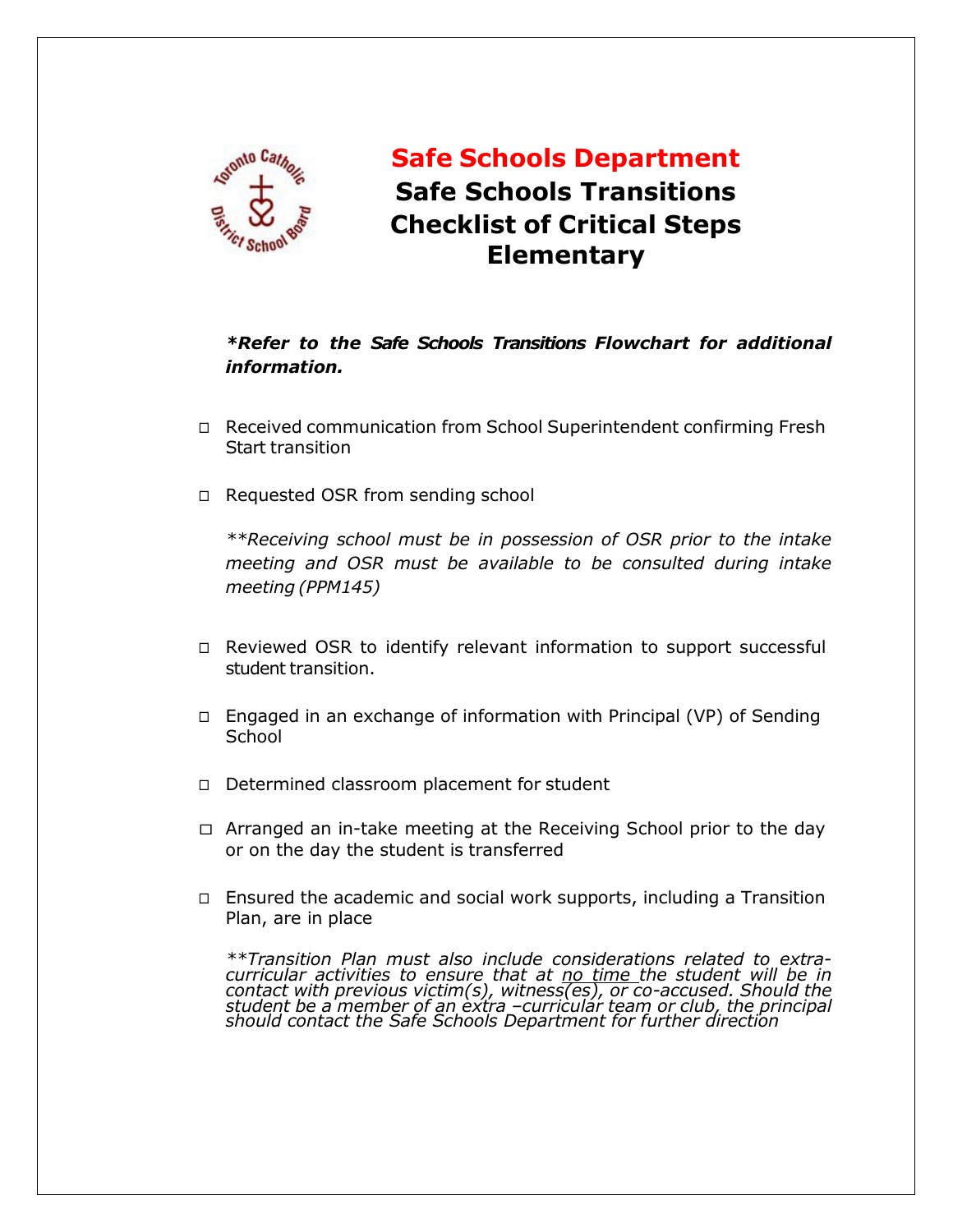

## **Safe Schools Department Checklist of Critical Steps Safe Schools Transitions Elementary**

## *\*Refer to the Safe Schools Transitions Flowchart for additional information.*

- ◻ Received communication from School Superintendent confirming Fresh Start transition
- ◻ Requested OSR from sending school

 *\*\*Receiving school must be in possession of OSR prior to the intake meeting and OSR must be available to be consulted during intake meeting (PPM145)* 

- ◻ Reviewed OSR to identify relevant information to support successful student transition.
- ◻ Engaged in an exchange of information with Principal (VP) of Sending **School**
- ◻ Determined classroom placement for student
- ◻ Arranged an in-take meeting at the Receiving School prior to the day or on the day the student is transferred
- ◻ Ensured the academic and social work supports, including a Transition Plan, are in place

 *\*\*Transition Plan must also include considerations related to extra- curricular activities to ensure that at no time the student will be in contact with previous victim(s), witness(es), or co-accused. Should the student be a member of an extra –curricular team or club, the principal should contact the Safe Schools Department for further direction*